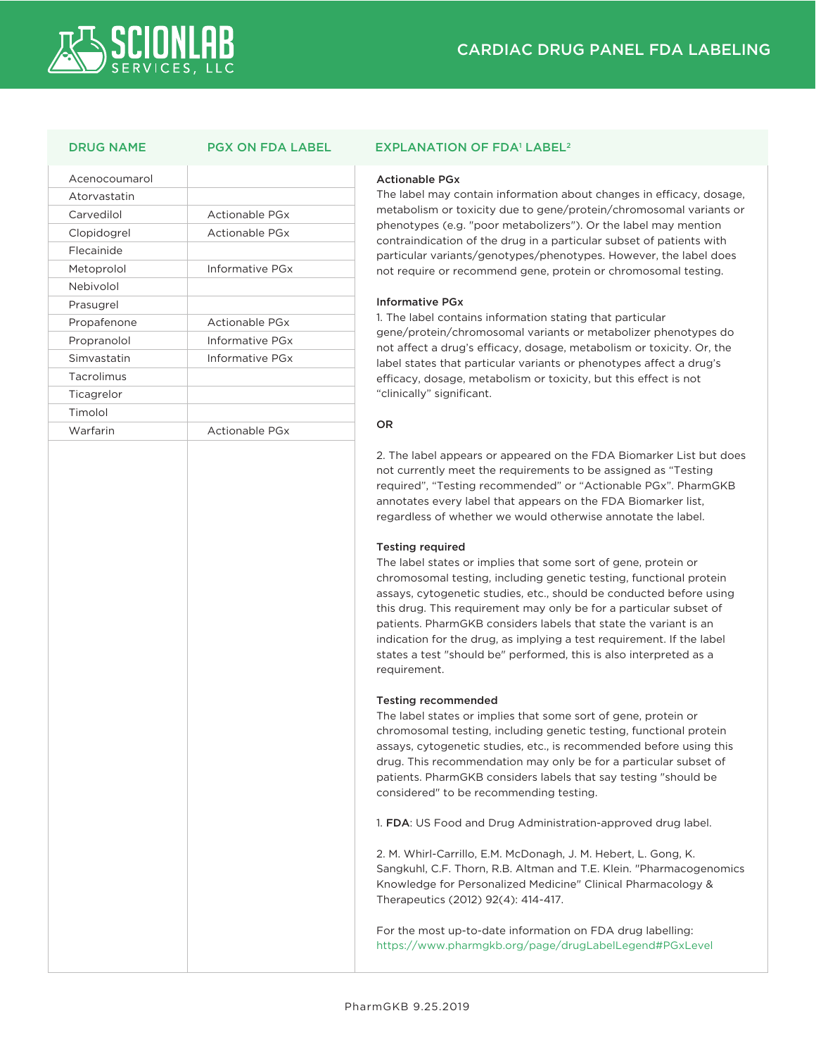

# PGX ON FDA LABEL

| <b>Actionable PGx</b><br>Actionable PGx<br>Informative PGx<br>Actionable PGx<br>Informative PG <sub>x</sub> |
|-------------------------------------------------------------------------------------------------------------|
|                                                                                                             |
|                                                                                                             |
|                                                                                                             |
|                                                                                                             |
|                                                                                                             |
|                                                                                                             |
|                                                                                                             |
|                                                                                                             |
|                                                                                                             |
|                                                                                                             |
| Informative PGx                                                                                             |
|                                                                                                             |
|                                                                                                             |
|                                                                                                             |
| Actionable PGx                                                                                              |
|                                                                                                             |
|                                                                                                             |
|                                                                                                             |
|                                                                                                             |
|                                                                                                             |
|                                                                                                             |

# DRUG NAME EXPLANATION OF FDA1 LABEL2

## Actionable PGx

The label may contain information about changes in efficacy, dosage, metabolism or toxicity due to gene/protein/chromosomal variants or phenotypes (e.g. "poor metabolizers"). Or the label may mention contraindication of the drug in a particular subset of patients with particular variants/genotypes/phenotypes. However, the label does not require or recommend gene, protein or chromosomal testing.

## Informative PGx

1. The label contains information stating that particular gene/protein/chromosomal variants or metabolizer phenotypes do not affect a drug's efficacy, dosage, metabolism or toxicity. Or, the label states that particular variants or phenotypes affect a drug's efficacy, dosage, metabolism or toxicity, but this effect is not "clinically" significant.

## O<sub>D</sub>

2. The label appears or appeared on the FDA Biomarker List but does not currently meet the requirements to be assigned as "Testing required", "Testing recommended" or "Actionable PGx". PharmGKB annotates every label that appears on the FDA Biomarker list, regardless of whether we would otherwise annotate the label.

## Testing required

The label states or implies that some sort of gene, protein or chromosomal testing, including genetic testing, functional protein assays, cytogenetic studies, etc., should be conducted before using this drug. This requirement may only be for a particular subset of patients. PharmGKB considers labels that state the variant is an indication for the drug, as implying a test requirement. If the label states a test "should be" performed, this is also interpreted as a requirement.

## Testing recommended

The label states or implies that some sort of gene, protein or chromosomal testing, including genetic testing, functional protein assays, cytogenetic studies, etc., is recommended before using this drug. This recommendation may only be for a particular subset of patients. PharmGKB considers labels that say testing "should be considered" to be recommending testing.

1. FDA: US Food and Drug Administration-approved drug label.

2. M. Whirl-Carrillo, E.M. McDonagh, J. M. Hebert, L. Gong, K. Sangkuhl, C.F. Thorn, R.B. Altman and T.E. Klein. "Pharmacogenomics Knowledge for Personalized Medicine" Clinical Pharmacology & Therapeutics (2012) 92(4): 414-417.

For the most up-to-date information on FDA drug labelling: https://www.pharmgkb.org/page/drugLabelLegend#PGxLevel